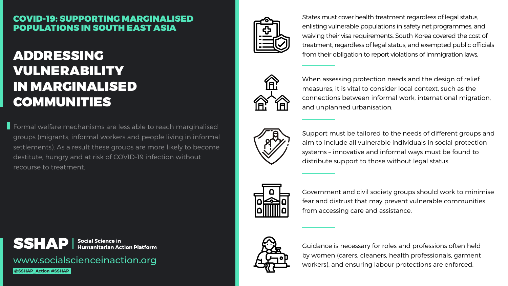www.socialscienceinaction.org

**@SSHAP\_Action #SSHAP**



# ADDRESSING VULNERABILITY IN MARGINALISED COMMUNITIES

Government and civil society groups should work to minimise fear and distrust that may prevent vulnerable communities from accessing care and assistance.



States must cover health treatment regardless of legal status, enlisting vulnerable populations in safety net programmes, and waiving their visa requirements. South Korea covered the cost of treatment, regardless of legal status, and exempted public officials from their obligation to report violations of immigration laws.



When assessing protection needs and the design of relief measures, it is vital to consider local context, such as the connections between informal work, international migration, and unplanned urbanisation.



Formal welfare mechanisms are less able to reach marginalised groups (migrants, informal workers and people living in informal settlements). As a result these groups are more likely to become destitute, hungry and at risk of COVID-19 infection without recourse to treatment.



**Social Science in Humanitarian Action Platform** 

Support must be tailored to the needs of different groups and aim to include all vulnerable individuals in social protection systems – innovative and informal ways must be found to distribute support to those without legal status.



Guidance is necessary for roles and professions often held by women (carers, cleaners, health professionals, garment workers), and ensuring labour protections are enforced.









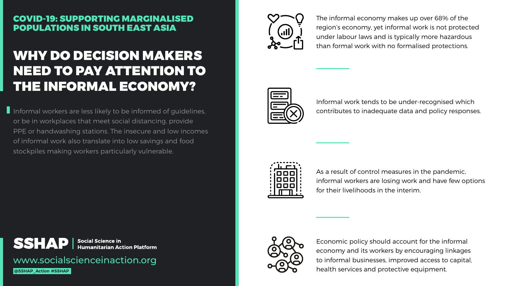www.socialscienceinaction.org

**@SSHAP\_Action #SSHAP**



# WHY DO DECISION MAKERS NEED TO PAY ATTENTION TO THE INFORMAL ECONOMY?

Informal workers are less likely to be informed of guidelines, or be in workplaces that meet social distancing, provide PPE or handwashing stations. The insecure and low incomes of informal work also translate into low savings and food stockpiles making workers particularly vulnerable.



**Social Science in Humanitarian Action Platform** 

The informal economy makes up over 68% of the region's economy, yet informal work is not protected under labour laws and is typically more hazardous than formal work with no formalised protections.



Informal work tends to be under-recognised which contributes to inadequate data and policy responses.



As a result of control measures in the pandemic, informal workers are losing work and have few options for their livelihoods in the interim.



Economic policy should account for the informal economy and its workers by encouraging linkages to informal businesses, improved access to capital, health services and protective equipment.

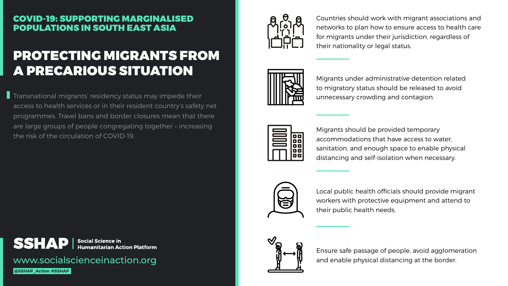www.socialscienceinaction.org

**@SSHAP\_Action #SSHAP**



# PROTECTING MIGRANTS FROM A PRECARIOUS SITUATION

Countries should work with migrant associations and networks to plan how to ensure access to health care for migrants under their jurisdiction, regardless of their nationality or legal status.



Migrants under administrative detention related to migratory status should be released to avoid unnecessary crowding and contagion.



Migrants should be provided temporary accommodations that have access to water, sanitation, and enough space to enable physical distancing and self-isolation when necessary.



**The Transnational migrants' residency status may impede their** access to health services or in their resident country's safety net programmes. Travel bans and border closures mean that there are large groups of people congregating together – increasing the risk of the circulation of COVID-19.



Local public health officials should provide migrant workers with protective equipment and attend to their public health needs.



Ensure safe passage of people, avoid agglomeration and enable physical distancing at the border.